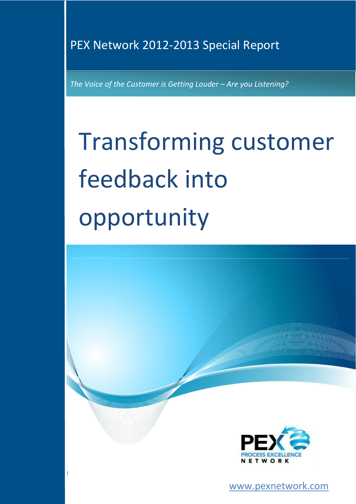### PEX Network 2012-2013 Special Report

**PEX Network Report: Transforming customer feedback into opportunity** 

*The Voice of the Customer is Getting Louder – Are you Listening?* 

# Transforming customer feedback into opportunity



**www.pexnetwork.com** 

www.pexnetwork.com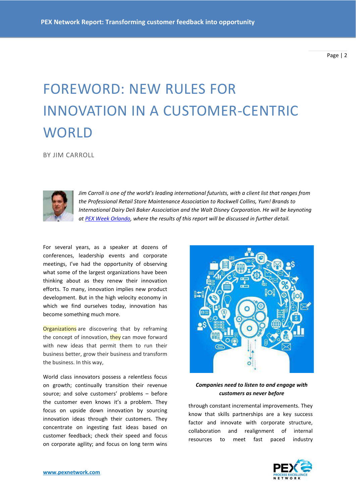# FOREWORD: NEW RULES FOR INNOVATION IN A CUSTOMER-CENTRIC **WORLD**

BY JIM CARROLL



*Jim Carroll is one of the world's leading international futurists, with a client list that ranges from the Professional Retail Store Maintenance Association to Rockwell Collins, Yum! Brands to International Dairy Deli Baker Association and the Walt Disney Corporation. He will be keynoting a[t PEX Week Orlando,](http://www.pexweek.com/) where the results of this report will be discussed in further detail.* 

For several years, as a speaker at dozens of conferences, leadership events and corporate meetings, I've had the opportunity of observing what some of the largest organizations have been thinking about as they renew their innovation efforts. To many, innovation implies new product development. But in the high velocity economy in which we find ourselves today, innovation has become something much more.

**Organizations** are discovering that by reframing the concept of innovation, they can move forward with new ideas that permit them to run their business better, grow their business and transform the business. In this way,

World class innovators possess a relentless focus on growth; continually transition their revenue source; and solve customers' problems - before the customer even knows it's a problem. They focus on upside down innovation by sourcing innovation ideas through their customers. They concentrate on ingesting fast ideas based on customer feedback; check their speed and focus on corporate agility; and focus on long term wins



#### *Companies need to listen to and engage with customers as never before*

through constant incremental improvements. They know that skills partnerships are a key success factor and innovate with corporate structure, collaboration and realignment of internal resources to meet fast paced industry

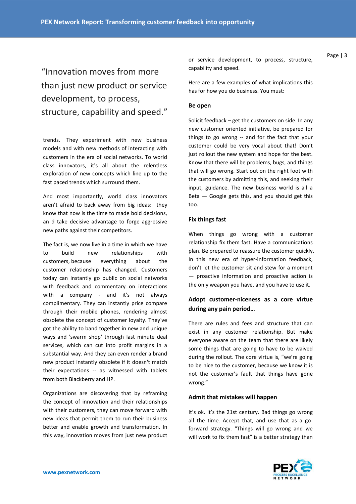"Innovation moves from more than just new product or service development, to process, structure, capability and speed."

trends. They experiment with new business models and with new methods of interacting with customers in the era of social networks. To world class innovators, it's all about the relentless exploration of new concepts which line up to the fast paced trends which surround them.

And most importantly, world class innovators aren't afraid to back away from big ideas: they know that now is the time to made bold decisions, an d take decisive advantage to forge aggressive new paths against their competitors.

The fact is, we now live in a time in which we have to build new relationships with customers, because everything about the customer relationship has changed. Customers today can instantly go public on social networks with feedback and commentary on interactions with a company - and it's not always complimentary. They can instantly price compare through their mobile phones, rendering almost obsolete the concept of customer loyalty. They've got the ability to band together in new and unique ways and 'swarm shop' through last minute deal services, which can cut into profit margins in a substantial way. And they can even render a brand new product instantly obsolete if it doesn't match their expectations -- as witnessed with tablets from both Blackberry and HP.

Organizations are discovering that by reframing the concept of innovation and their relationships with their customers, they can move forward with new ideas that permit them to run their business better and enable growth and transformation. In this way, innovation moves from just new product or service development, to process, structure, capability and speed.

Here are a few examples of what implications this has for how you do business. You must:

#### **Be open**

Solicit feedback – get the customers on side. In any new customer oriented initiative, be prepared for things to go wrong -- and for the fact that your customer could be very vocal about that! Don't just rollout the new system and hope for the best. Know that there will be problems, bugs, and things that will go wrong. Start out on the right foot with the customers by admitting this, and seeking their input, guidance. The new business world is all a Beta  $-$  Google gets this, and you should get this too.

#### **Fix things fast**

When things go wrong with a customer relationship fix them fast. Have a communications plan. Be prepared to reassure the customer quickly. In this new era of hyper-information feedback, don't let the customer sit and stew for a moment — proactive information and proactive action is the only weapon you have, and you have to use it.

#### **Adopt customer-niceness as a core virtue during any pain period…**

There are rules and fees and structure that can exist in any customer relationship. But make everyone aware on the team that there are likely some things that are going to have to be waived during the rollout. The core virtue is, "we're going to be nice to the customer, because we know it is not the customer's fault that things have gone wrong."

#### **Admit that mistakes will happen**

It's ok. It's the 21st century. Bad things go wrong all the time. Accept that, and use that as a goforward strategy. "Things will go wrong and we will work to fix them fast" is a better strategy than

Page | 3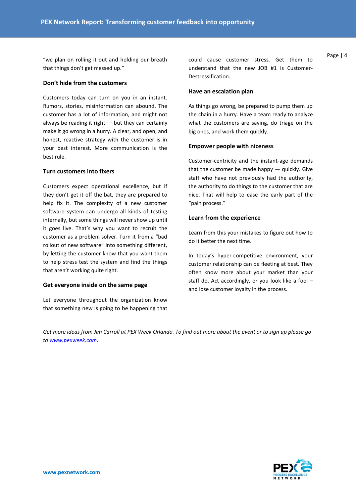"we plan on rolling it out and holding our breath that things don't get messed up."

#### **Don't hide from the customers**

Customers today can turn on you in an instant. Rumors, stories, misinformation can abound. The customer has a lot of information, and might not always be reading it right  $-$  but they can certainly make it go wrong in a hurry. A clear, and open, and honest, reactive strategy with the customer is in your best interest. More communication is the best rule.

#### **Turn customers into fixers**

Customers expect operational excellence, but if they don't get it off the bat, they are prepared to help fix it. The complexity of a new customer software system can undergo all kinds of testing internally, but some things will never show up until it goes live. That's why you want to recruit the customer as a problem solver. Turn it from a "bad rollout of new software" into something different, by letting the customer know that you want them to help stress test the system and find the things that aren't working quite right.

#### **Get everyone inside on the same page**

Let everyone throughout the organization know that something new is going to be happening that

could cause customer stress. Get them to understand that the new JOB #1 is Customer-Destressification.

#### **Have an escalation plan**

As things go wrong, be prepared to pump them up the chain in a hurry. Have a team ready to analyze what the customers are saying, do triage on the big ones, and work them quickly.

#### **Empower people with niceness**

Customer-centricity and the instant-age demands that the customer be made happy  $-$  quickly. Give staff who have not previously had the authority, the authority to do things to the customer that are nice. That will help to ease the early part of the "pain process."

#### **Learn from the experience**

Learn from this your mistakes to figure out how to do it better the next time.

In today's hyper-competitive environment, your customer relationship can be fleeting at best. They often know more about your market than your staff do. Act accordingly, or you look like a fool – and lose customer loyalty in the process.

*Get more ideas from Jim Carroll at PEX Week Orlando. To find out more about the event or to sign up please go t[o www.pexweek.com.](http://www.pexweek.com/)*